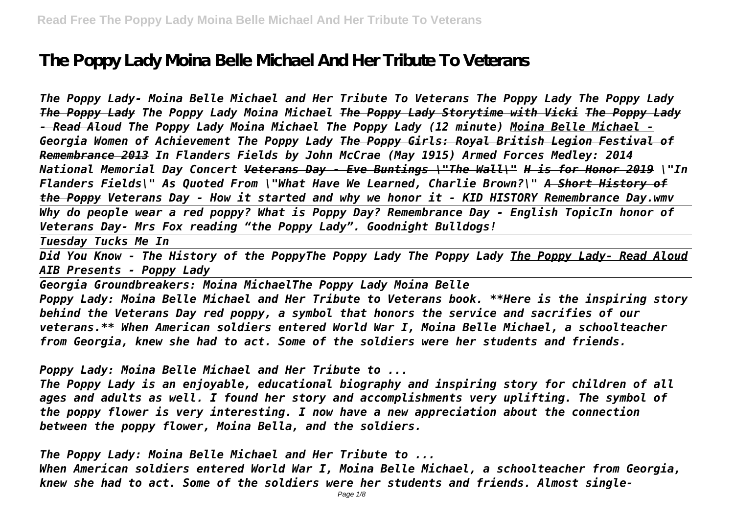## **The Poppy Lady Moina Belle Michael And Her Tribute To Veterans**

*The Poppy Lady- Moina Belle Michael and Her Tribute To Veterans The Poppy Lady The Poppy Lady The Poppy Lady The Poppy Lady Moina Michael The Poppy Lady Storytime with Vicki The Poppy Lady - Read Aloud The Poppy Lady Moina Michael The Poppy Lady (12 minute) Moina Belle Michael - Georgia Women of Achievement The Poppy Lady The Poppy Girls: Royal British Legion Festival of Remembrance 2013 In Flanders Fields by John McCrae (May 1915) Armed Forces Medley: 2014 National Memorial Day Concert Veterans Day - Eve Buntings \"The Wall\" H is for Honor 2019 \"In Flanders Fields\" As Quoted From \"What Have We Learned, Charlie Brown?\" A Short History of the Poppy Veterans Day - How it started and why we honor it - KID HISTORY Remembrance Day.wmv Why do people wear a red poppy? What is Poppy Day? Remembrance Day - English TopicIn honor of Veterans Day- Mrs Fox reading "the Poppy Lady". Goodnight Bulldogs!*

*Tuesday Tucks Me In*

*Did You Know - The History of the PoppyThe Poppy Lady The Poppy Lady The Poppy Lady- Read Aloud AIB Presents - Poppy Lady*

*Georgia Groundbreakers: Moina MichaelThe Poppy Lady Moina Belle Poppy Lady: Moina Belle Michael and Her Tribute to Veterans book. \*\*Here is the inspiring story behind the Veterans Day red poppy, a symbol that honors the service and sacrifies of our veterans.\*\* When American soldiers entered World War I, Moina Belle Michael, a schoolteacher from Georgia, knew she had to act. Some of the soldiers were her students and friends.*

*Poppy Lady: Moina Belle Michael and Her Tribute to ...*

*The Poppy Lady is an enjoyable, educational biography and inspiring story for children of all ages and adults as well. I found her story and accomplishments very uplifting. The symbol of the poppy flower is very interesting. I now have a new appreciation about the connection between the poppy flower, Moina Bella, and the soldiers.*

*The Poppy Lady: Moina Belle Michael and Her Tribute to ... When American soldiers entered World War I, Moina Belle Michael, a schoolteacher from Georgia, knew she had to act. Some of the soldiers were her students and friends. Almost single-*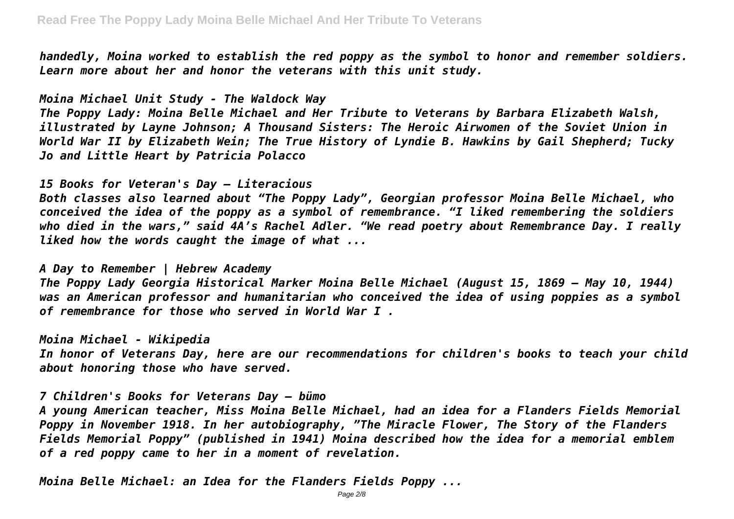*handedly, Moina worked to establish the red poppy as the symbol to honor and remember soldiers. Learn more about her and honor the veterans with this unit study.*

*Moina Michael Unit Study - The Waldock Way*

*The Poppy Lady: Moina Belle Michael and Her Tribute to Veterans by Barbara Elizabeth Walsh, illustrated by Layne Johnson; A Thousand Sisters: The Heroic Airwomen of the Soviet Union in World War II by Elizabeth Wein; The True History of Lyndie B. Hawkins by Gail Shepherd; Tucky Jo and Little Heart by Patricia Polacco*

*15 Books for Veteran's Day – Literacious*

*Both classes also learned about "The Poppy Lady", Georgian professor Moina Belle Michael, who conceived the idea of the poppy as a symbol of remembrance. "I liked remembering the soldiers who died in the wars," said 4A's Rachel Adler. "We read poetry about Remembrance Day. I really liked how the words caught the image of what ...*

*A Day to Remember | Hebrew Academy*

*The Poppy Lady Georgia Historical Marker Moina Belle Michael (August 15, 1869 – May 10, 1944) was an American professor and humanitarian who conceived the idea of using poppies as a symbol of remembrance for those who served in World War I .*

*Moina Michael - Wikipedia*

*In honor of Veterans Day, here are our recommendations for children's books to teach your child about honoring those who have served.*

*7 Children's Books for Veterans Day – bümo*

*A young American teacher, Miss Moina Belle Michael, had an idea for a Flanders Fields Memorial Poppy in November 1918. In her autobiography, "The Miracle Flower, The Story of the Flanders Fields Memorial Poppy" (published in 1941) Moina described how the idea for a memorial emblem of a red poppy came to her in a moment of revelation.*

*Moina Belle Michael: an Idea for the Flanders Fields Poppy ...*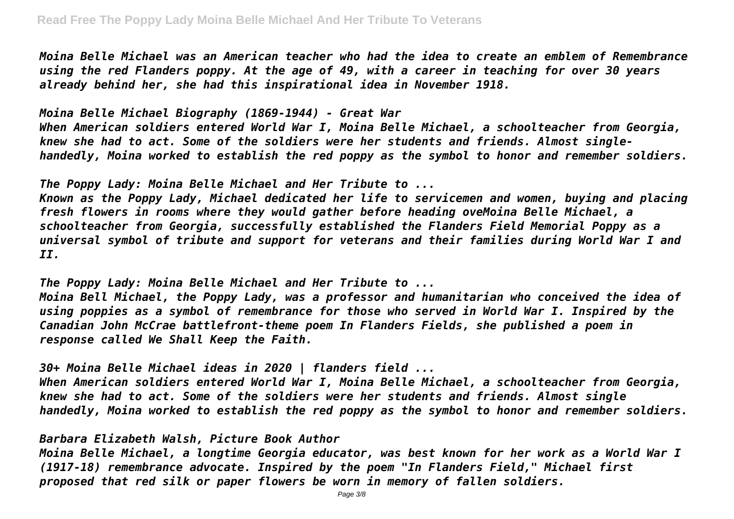*Moina Belle Michael was an American teacher who had the idea to create an emblem of Remembrance using the red Flanders poppy. At the age of 49, with a career in teaching for over 30 years already behind her, she had this inspirational idea in November 1918.*

*Moina Belle Michael Biography (1869-1944) - Great War*

*When American soldiers entered World War I, Moina Belle Michael, a schoolteacher from Georgia, knew she had to act. Some of the soldiers were her students and friends. Almost singlehandedly, Moina worked to establish the red poppy as the symbol to honor and remember soldiers.*

*The Poppy Lady: Moina Belle Michael and Her Tribute to ...*

*Known as the Poppy Lady, Michael dedicated her life to servicemen and women, buying and placing fresh flowers in rooms where they would gather before heading oveMoina Belle Michael, a schoolteacher from Georgia, successfully established the Flanders Field Memorial Poppy as a universal symbol of tribute and support for veterans and their families during World War I and II.*

*The Poppy Lady: Moina Belle Michael and Her Tribute to ...*

*Moina Bell Michael, the Poppy Lady, was a professor and humanitarian who conceived the idea of using poppies as a symbol of remembrance for those who served in World War I. Inspired by the Canadian John McCrae battlefront-theme poem In Flanders Fields, she published a poem in response called We Shall Keep the Faith.*

*30+ Moina Belle Michael ideas in 2020 | flanders field ...*

*When American soldiers entered World War I, Moina Belle Michael, a schoolteacher from Georgia, knew she had to act. Some of the soldiers were her students and friends. Almost single handedly, Moina worked to establish the red poppy as the symbol to honor and remember soldiers.*

## *Barbara Elizabeth Walsh, Picture Book Author*

*Moina Belle Michael, a longtime Georgia educator, was best known for her work as a World War I (1917-18) remembrance advocate. Inspired by the poem "In Flanders Field," Michael first proposed that red silk or paper flowers be worn in memory of fallen soldiers.*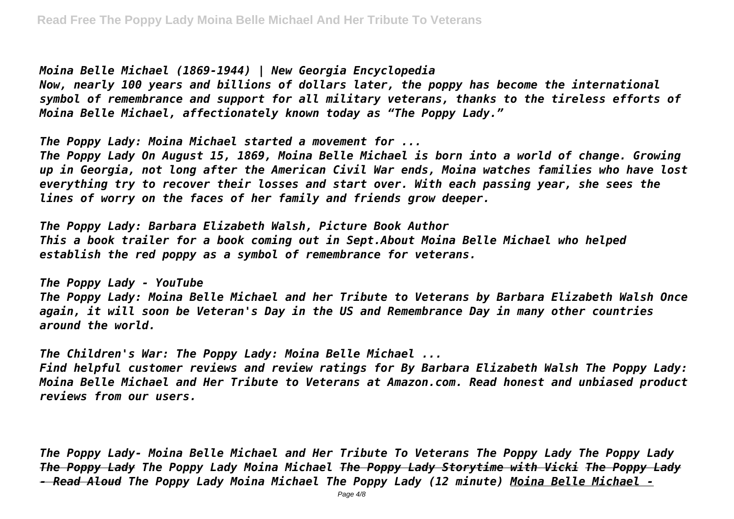*Moina Belle Michael (1869-1944) | New Georgia Encyclopedia*

*Now, nearly 100 years and billions of dollars later, the poppy has become the international symbol of remembrance and support for all military veterans, thanks to the tireless efforts of Moina Belle Michael, affectionately known today as "The Poppy Lady."*

*The Poppy Lady: Moina Michael started a movement for ...*

*The Poppy Lady On August 15, 1869, Moina Belle Michael is born into a world of change. Growing up in Georgia, not long after the American Civil War ends, Moina watches families who have lost everything try to recover their losses and start over. With each passing year, she sees the lines of worry on the faces of her family and friends grow deeper.*

*The Poppy Lady: Barbara Elizabeth Walsh, Picture Book Author This a book trailer for a book coming out in Sept.About Moina Belle Michael who helped establish the red poppy as a symbol of remembrance for veterans.*

*The Poppy Lady - YouTube*

*The Poppy Lady: Moina Belle Michael and her Tribute to Veterans by Barbara Elizabeth Walsh Once again, it will soon be Veteran's Day in the US and Remembrance Day in many other countries around the world.*

*The Children's War: The Poppy Lady: Moina Belle Michael ...*

*Find helpful customer reviews and review ratings for By Barbara Elizabeth Walsh The Poppy Lady: Moina Belle Michael and Her Tribute to Veterans at Amazon.com. Read honest and unbiased product reviews from our users.*

*The Poppy Lady- Moina Belle Michael and Her Tribute To Veterans The Poppy Lady The Poppy Lady The Poppy Lady The Poppy Lady Moina Michael The Poppy Lady Storytime with Vicki The Poppy Lady - Read Aloud The Poppy Lady Moina Michael The Poppy Lady (12 minute) Moina Belle Michael -*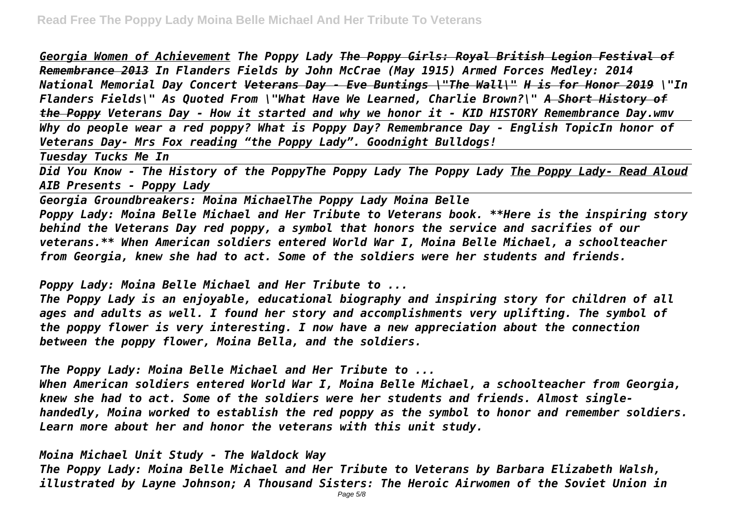*Georgia Women of Achievement The Poppy Lady The Poppy Girls: Royal British Legion Festival of Remembrance 2013 In Flanders Fields by John McCrae (May 1915) Armed Forces Medley: 2014 National Memorial Day Concert Veterans Day - Eve Buntings \"The Wall\" H is for Honor 2019 \"In Flanders Fields\" As Quoted From \"What Have We Learned, Charlie Brown?\" A Short History of the Poppy Veterans Day - How it started and why we honor it - KID HISTORY Remembrance Day.wmv Why do people wear a red poppy? What is Poppy Day? Remembrance Day - English TopicIn honor of Veterans Day- Mrs Fox reading "the Poppy Lady". Goodnight Bulldogs!*

*Tuesday Tucks Me In*

*Did You Know - The History of the PoppyThe Poppy Lady The Poppy Lady The Poppy Lady- Read Aloud AIB Presents - Poppy Lady*

*Georgia Groundbreakers: Moina MichaelThe Poppy Lady Moina Belle Poppy Lady: Moina Belle Michael and Her Tribute to Veterans book. \*\*Here is the inspiring story behind the Veterans Day red poppy, a symbol that honors the service and sacrifies of our veterans.\*\* When American soldiers entered World War I, Moina Belle Michael, a schoolteacher from Georgia, knew she had to act. Some of the soldiers were her students and friends.*

*Poppy Lady: Moina Belle Michael and Her Tribute to ...*

*The Poppy Lady is an enjoyable, educational biography and inspiring story for children of all ages and adults as well. I found her story and accomplishments very uplifting. The symbol of the poppy flower is very interesting. I now have a new appreciation about the connection between the poppy flower, Moina Bella, and the soldiers.*

*The Poppy Lady: Moina Belle Michael and Her Tribute to ...*

*When American soldiers entered World War I, Moina Belle Michael, a schoolteacher from Georgia, knew she had to act. Some of the soldiers were her students and friends. Almost singlehandedly, Moina worked to establish the red poppy as the symbol to honor and remember soldiers. Learn more about her and honor the veterans with this unit study.*

*Moina Michael Unit Study - The Waldock Way*

*The Poppy Lady: Moina Belle Michael and Her Tribute to Veterans by Barbara Elizabeth Walsh, illustrated by Layne Johnson; A Thousand Sisters: The Heroic Airwomen of the Soviet Union in*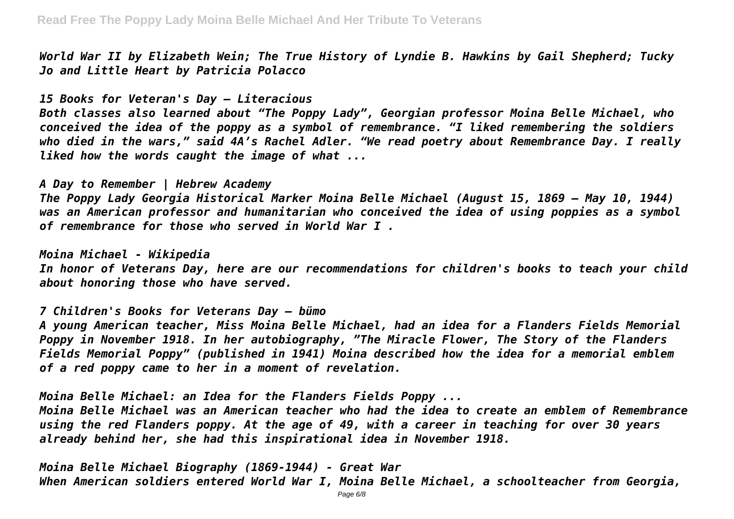*World War II by Elizabeth Wein; The True History of Lyndie B. Hawkins by Gail Shepherd; Tucky Jo and Little Heart by Patricia Polacco*

*15 Books for Veteran's Day – Literacious*

*Both classes also learned about "The Poppy Lady", Georgian professor Moina Belle Michael, who conceived the idea of the poppy as a symbol of remembrance. "I liked remembering the soldiers who died in the wars," said 4A's Rachel Adler. "We read poetry about Remembrance Day. I really liked how the words caught the image of what ...*

## *A Day to Remember | Hebrew Academy*

*The Poppy Lady Georgia Historical Marker Moina Belle Michael (August 15, 1869 – May 10, 1944) was an American professor and humanitarian who conceived the idea of using poppies as a symbol of remembrance for those who served in World War I .*

*Moina Michael - Wikipedia*

*In honor of Veterans Day, here are our recommendations for children's books to teach your child about honoring those who have served.*

*7 Children's Books for Veterans Day – bümo*

*A young American teacher, Miss Moina Belle Michael, had an idea for a Flanders Fields Memorial Poppy in November 1918. In her autobiography, "The Miracle Flower, The Story of the Flanders Fields Memorial Poppy" (published in 1941) Moina described how the idea for a memorial emblem of a red poppy came to her in a moment of revelation.*

*Moina Belle Michael: an Idea for the Flanders Fields Poppy ...*

*Moina Belle Michael was an American teacher who had the idea to create an emblem of Remembrance using the red Flanders poppy. At the age of 49, with a career in teaching for over 30 years already behind her, she had this inspirational idea in November 1918.*

*Moina Belle Michael Biography (1869-1944) - Great War When American soldiers entered World War I, Moina Belle Michael, a schoolteacher from Georgia,*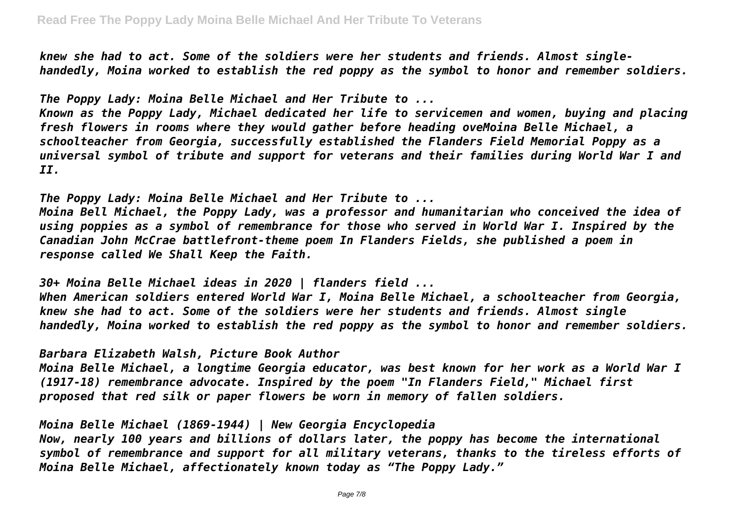*knew she had to act. Some of the soldiers were her students and friends. Almost singlehandedly, Moina worked to establish the red poppy as the symbol to honor and remember soldiers.*

*The Poppy Lady: Moina Belle Michael and Her Tribute to ...*

*Known as the Poppy Lady, Michael dedicated her life to servicemen and women, buying and placing fresh flowers in rooms where they would gather before heading oveMoina Belle Michael, a schoolteacher from Georgia, successfully established the Flanders Field Memorial Poppy as a universal symbol of tribute and support for veterans and their families during World War I and II.*

*The Poppy Lady: Moina Belle Michael and Her Tribute to ...*

*Moina Bell Michael, the Poppy Lady, was a professor and humanitarian who conceived the idea of using poppies as a symbol of remembrance for those who served in World War I. Inspired by the Canadian John McCrae battlefront-theme poem In Flanders Fields, she published a poem in response called We Shall Keep the Faith.*

*30+ Moina Belle Michael ideas in 2020 | flanders field ...*

*When American soldiers entered World War I, Moina Belle Michael, a schoolteacher from Georgia, knew she had to act. Some of the soldiers were her students and friends. Almost single handedly, Moina worked to establish the red poppy as the symbol to honor and remember soldiers.*

*Barbara Elizabeth Walsh, Picture Book Author*

*Moina Belle Michael, a longtime Georgia educator, was best known for her work as a World War I (1917-18) remembrance advocate. Inspired by the poem "In Flanders Field," Michael first proposed that red silk or paper flowers be worn in memory of fallen soldiers.*

*Moina Belle Michael (1869-1944) | New Georgia Encyclopedia*

*Now, nearly 100 years and billions of dollars later, the poppy has become the international symbol of remembrance and support for all military veterans, thanks to the tireless efforts of Moina Belle Michael, affectionately known today as "The Poppy Lady."*